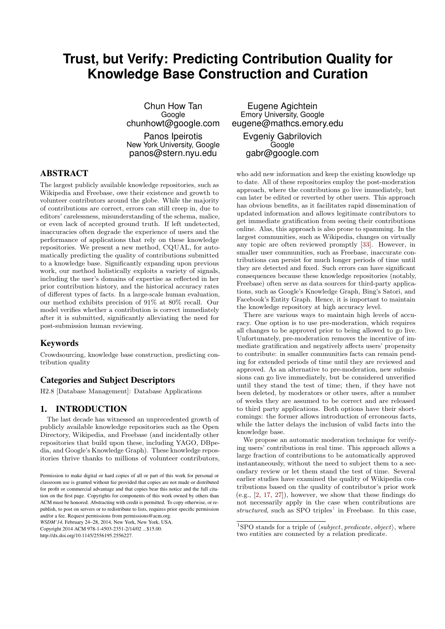# **Trust, but Verify: Predicting Contribution Quality for Knowledge Base Construction and Curation**

Chun How Tan **Google** chunhowt@google.com Panos Ipeirotis New York University, Google panos@stern.nyu.edu

# ABSTRACT

The largest publicly available knowledge repositories, such as Wikipedia and Freebase, owe their existence and growth to volunteer contributors around the globe. While the majority of contributions are correct, errors can still creep in, due to editors' carelessness, misunderstanding of the schema, malice, or even lack of accepted ground truth. If left undetected, inaccuracies often degrade the experience of users and the performance of applications that rely on these knowledge repositories. We present a new method, CQUAL, for automatically predicting the quality of contributions submitted to a knowledge base. Significantly expanding upon previous work, our method holistically exploits a variety of signals, including the user's domains of expertise as reflected in her prior contribution history, and the historical accuracy rates of different types of facts. In a large-scale human evaluation, our method exhibits precision of 91% at 80% recall. Our model verifies whether a contribution is correct immediately after it is submitted, significantly alleviating the need for post-submission human reviewing.

## Keywords

Crowdsourcing, knowledge base construction, predicting contribution quality

# Categories and Subject Descriptors

H2.8 [Database Management]: Database Applications

# 1. INTRODUCTION

The last decade has witnessed an unprecedented growth of publicly available knowledge repositories such as the Open Directory, Wikipedia, and Freebase (and incidentally other repositories that build upon these, including YAGO, DBpedia, and Google's Knowledge Graph). These knowledge repositories thrive thanks to millions of volunteer contributors,

*WSDM'14,* February 24–28, 2014, New York, New York, USA.

Copyright 2014 ACM 978-1-4503-2351-2/14/02 ...\$15.00.

http://dx.doi.org/10.1145/2556195.2556227.

Eugene Agichtein Emory University, Google eugene@mathcs.emory.edu Evgeniy Gabrilovich

> Google gabr@google.com

who add new information and keep the existing knowledge up to date. All of these repositories employ the post-moderation approach, where the contributions go live immediately, but can later be edited or reverted by other users. This approach has obvious benefits, as it facilitates rapid dissemination of updated information and allows legitimate contributors to get immediate gratification from seeing their contributions online. Alas, this approach is also prone to spamming. In the largest communities, such as Wikipedia, changes on virtually any topic are often reviewed promptly [\[33\]](#page-9-0). However, in smaller user communities, such as Freebase, inaccurate contributions can persist for much longer periods of time until they are detected and fixed. Such errors can have significant consequences because these knowledge repositories (notably, Freebase) often serve as data sources for third-party applications, such as Google's Knowledge Graph, Bing's Satori, and Facebook's Entity Graph. Hence, it is important to maintain the knowledge repository at high accuracy level.

There are various ways to maintain high levels of accuracy. One option is to use pre-moderation, which requires all changes to be approved prior to being allowed to go live. Unfortunately, pre-moderation removes the incentive of immediate gratification and negatively affects users' propensity to contribute: in smaller communities facts can remain pending for extended periods of time until they are reviewed and approved. As an alternative to pre-moderation, new submissions can go live immediately, but be considered unverified until they stand the test of time; then, if they have not been deleted, by moderators or other users, after a number of weeks they are assumed to be correct and are released to third party applications. Both options have their shortcomings: the former allows introduction of erroneous facts, while the latter delays the inclusion of valid facts into the knowledge base.

We propose an automatic moderation technique for verifying users' contributions in real time. This approach allows a large fraction of contributions to be automatically approved instantaneously, without the need to subject them to a secondary review or let them stand the test of time. Several earlier studies have examined the quality of Wikipedia contributions based on the quality of contributor's prior work (e.g., [\[2,](#page-9-1) [17,](#page-9-2) [27\]](#page-9-3)), however, we show that these findings do not necessarily apply in the case when contributions are structured, such as SPO triples<sup>[1](#page-0-0)</sup> in Freebase. In this case,

Permission to make digital or hard copies of all or part of this work for personal or classroom use is granted without fee provided that copies are not made or distributed for profit or commercial advantage and that copies bear this notice and the full citation on the first page. Copyrights for components of this work owned by others than ACM must be honored. Abstracting with credit is permitted. To copy otherwise, or republish, to post on servers or to redistribute to lists, requires prior specific permission and/or a fee. Request permissions from permissions@acm.org.

<span id="page-0-0"></span><sup>&</sup>lt;sup>1</sup>SPO stands for a triple of  $\langle subject, predicate, object \rangle$ , where two entities are connected by a relation predicate.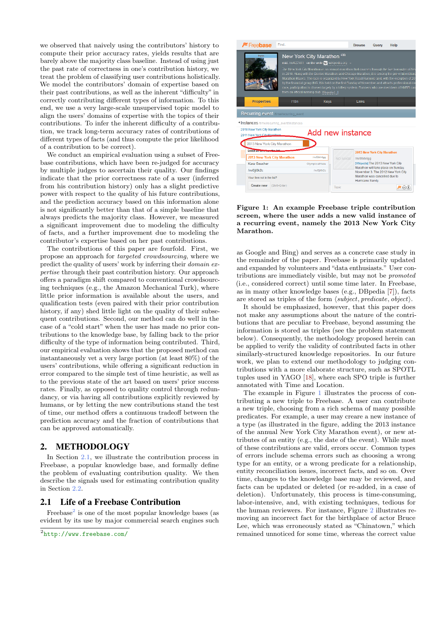we observed that naively using the contributors' history to compute their prior accuracy rates, yields results that are barely above the majority class baseline. Instead of using just the past rate of correctness in one's contribution history, we treat the problem of classifying user contributions holistically. We model the contributors' domain of expertise based on their past contributions, as well as the inherent "difficulty" in correctly contributing different types of information. To this end, we use a very large-scale unsupervised topic model to align the users' domains of expertise with the topics of their contributions. To infer the inherent difficulty of a contribution, we track long-term accuracy rates of contributions of different types of facts (and thus compute the prior likelihood of a contribution to be correct).

We conduct an empirical evaluation using a subset of Freebase contributions, which have been re-judged for accuracy by multiple judges to ascertain their quality. Our findings indicate that the prior correctness rate of a user (inferred from his contribution history) only has a slight predictive power with respect to the quality of his future contributions, and the prediction accuracy based on this information alone is not significantly better than that of a simple baseline that always predicts the majority class. However, we measured a significant improvement due to modeling the difficulty of facts, and a further improvement due to modeling the contributor's expertise based on her past contributions.

The contributions of this paper are fourfold. First, we propose an approach for targeted crowdsourcing, where we predict the quality of users' work by inferring their domain expertise through their past contribution history. Our approach offers a paradigm shift compared to conventional crowdsourcing techniques (e.g., the Amazon Mechanical Turk), where little prior information is available about the users, and qualification tests (even paired with their prior contribution history, if any) shed little light on the quality of their subsequent contributions. Second, our method can do well in the case of a "cold start" when the user has made no prior contributions to the knowledge base, by falling back to the prior difficulty of the type of information being contributed. Third, our empirical evaluation shows that the proposed method can instantaneously vet a very large portion (at least 80%) of the users' contributions, while offering a significant reduction in error compared to the simple test of time heuristic, as well as to the previous state of the art based on users' prior success rates. Finally, as opposed to quality control through redundancy, or via having all contributions explicitly reviewed by humans, or by letting the new contributions stand the test of time, our method offers a continuous tradeoff between the prediction accuracy and the fraction of contributions that can be approved automatically.

# <span id="page-1-3"></span>2. METHODOLOGY

In Section [2.1,](#page-1-0) we illustrate the contribution process in Freebase, a popular knowledge base, and formally define the problem of evaluating contribution quality. We then describe the signals used for estimating contribution quality in Section [2.2.](#page-2-0)

# <span id="page-1-0"></span>2.1 Life of a Freebase Contribution

Freebase<sup>[2](#page-1-1)</sup> is one of the most popular knowledge bases (as evident by its use by major commercial search engines such



Figure 1: An example Freebase triple contribution screen, where the user adds a new valid instance of a recurring event, namely the 2013 New York City Marathon.

<span id="page-1-2"></span>as Google and Bing) and serves as a concrete case study in the remainder of the paper. Freebase is primarily updated and expanded by volunteers and "data enthusiasts." User contributions are immediately visible, but may not be promoted (i.e., considered correct) until some time later. In Freebase, as in many other knowledge bases (e.g., DBpedia [\[7\]](#page-9-4)), facts are stored as triples of the form  $\langle subject, predicate, object \rangle$ .

It should be emphasized, however, that this paper does not make any assumptions about the nature of the contributions that are peculiar to Freebase, beyond assuming the information is stored as triples (see the problem statement below). Consequently, the methodology proposed herein can be applied to verify the validity of contributed facts in other similarly-structured knowledge repositories. In our future work, we plan to extend our methodology to judging contributions with a more elaborate structure, such as SPOTL tuples used in YAGO [\[18\]](#page-9-5), where each SPO triple is further annotated with Time and Location.

The example in Figure [1](#page-1-2) illustrates the process of contributing a new triple to Freebase. A user can contribute a new triple, choosing from a rich schema of many possible predicates. For example, a user may creare a new instance of a type (as illustrated in the figure, adding the 2013 instance of the annual New York City Marathon event), or new attributes of an entity (e.g., the date of the event). While most of these contributions are valid, errors occur. Common types of errors include schema errors such as choosing a wrong type for an entity, or a wrong predicate for a relationship, entity reconciliation issues, incorrect facts, and so on. Over time, changes to the knowledge base may be reviewed, and facts can be updated or deleted (or re-added, in a case of deletion). Unfortunately, this process is time-consuming, labor-intensive, and, with existing techniques, tedious for the human reviewers. For instance, Figure [2](#page-2-1) illustrates removing an incorrect fact for the birthplace of actor Bruce Lee, which was erroneously stated as "Chinatown," which remained unnoticed for some time, whereas the correct value

<span id="page-1-1"></span><sup>2</sup> <http://www.freebase.com/>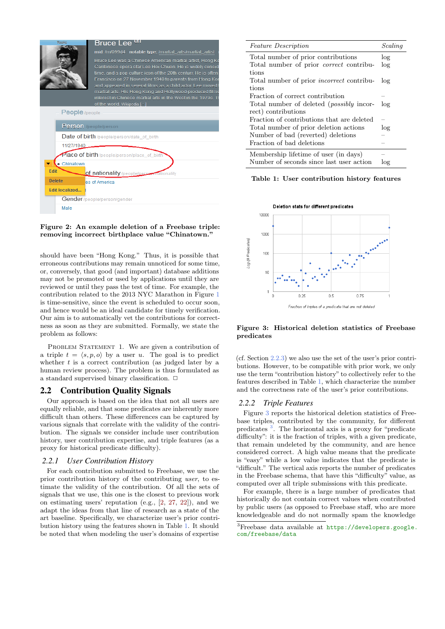

#### <span id="page-2-1"></span>Figure 2: An example deletion of a Freebase triple: removing incorrect birthplace value "Chinatown."

should have been "Hong Kong." Thus, it is possible that erroneous contributions may remain unnoticed for some time, or, conversely, that good (and important) database additions may not be promoted or used by applications until they are reviewed or until they pass the test of time. For example, the contribution related to the 2013 NYC Marathon in Figure [1](#page-1-2) is time-sensitive, since the event is scheduled to occur soon, and hence would be an ideal candidate for timely verification. Our aim is to automatically vet the contributions for correctness as soon as they are submitted. Formally, we state the problem as follows:

PROBLEM STATEMENT 1. We are given a contribution of a triple  $t = \langle s, p, o \rangle$  by a user u. The goal is to predict whether  $t$  is a correct contribution (as judged later by a human review process). The problem is thus formulated as a standard supervised binary classification.  $\Box$ 

## <span id="page-2-0"></span>2.2 Contribution Quality Signals

Our approach is based on the idea that not all users are equally reliable, and that some predicates are inherently more difficult than others. These differences can be captured by various signals that correlate with the validity of the contribution. The signals we consider include user contribution history, user contribution expertise, and triple features (as a proxy for historical predicate difficulty).

## <span id="page-2-6"></span>*2.2.1 User Contribution History*

For each contribution submitted to Freebase, we use the prior contribution history of the contributing user, to estimate the validity of the contribution. Of all the sets of signals that we use, this one is the closest to previous work on estimating users' reputation (e.g., [\[2,](#page-9-1) [27,](#page-9-3) [22\]](#page-9-6)), and we adapt the ideas from that line of research as a state of the art baseline. Specifically, we characterize user's prior contribution history using the features shown in Table [1.](#page-2-2) It should be noted that when modeling the user's domains of expertise

| <i>Feature Description</i>                       | Scaling |
|--------------------------------------------------|---------|
| Total number of prior contributions              | log     |
| Total number of prior <i>correct</i> contribu-   | log     |
| tions                                            |         |
| Total number of prior <i>incorrect</i> contribu- | log     |
| tions                                            |         |
| Fraction of correct contribution                 |         |
| Total number of deleted ( <i>possibly</i> incor- | log     |
| rect) contributions                              |         |
| Fraction of contributions that are deleted       |         |
| Total number of prior deletion actions           | log     |
| Number of bad (reverted) deletions               |         |
| Fraction of bad deletions                        |         |
| Membership lifetime of user (in days)            |         |
| Number of seconds since last user action         | log     |

#### <span id="page-2-2"></span>Table 1: User contribution history features



#### <span id="page-2-3"></span>Figure 3: Historical deletion statistics of Freebase predicates

(cf. Section [2.2.3\)](#page-3-0) we also use the set of the user's prior contributions. However, to be compatible with prior work, we only use the term "contribution history" to collectively refer to the features described in Table [1,](#page-2-2) which characterize the number and the correctness rate of the user's prior contributions.

#### <span id="page-2-5"></span>*2.2.2 Triple Features*

Figure [3](#page-2-3) reports the historical deletion statistics of Freebase triples, contributed by the community, for different predicates <sup>[3](#page-2-4)</sup>. The horizontal axis is a proxy for "predicate difficulty": it is the fraction of triples, with a given predicate, that remain undeleted by the community, and are hence considered correct. A high value means that the predicate is "easy" while a low value indicates that the predicate is "difficult." The vertical axis reports the number of predicates in the Freebase schema, that have this "difficulty" value, as computed over all triple submissions with this predicate.

For example, there is a large number of predicates that historically do not contain correct values when contributed by public users (as opposed to Freebase staff, who are more knowledgeable and do not normally spam the knowledge

<span id="page-2-4"></span><sup>3</sup>Freebase data available at [https://developers.google.](https://developers.google.com/freebase/data) [com/freebase/data](https://developers.google.com/freebase/data)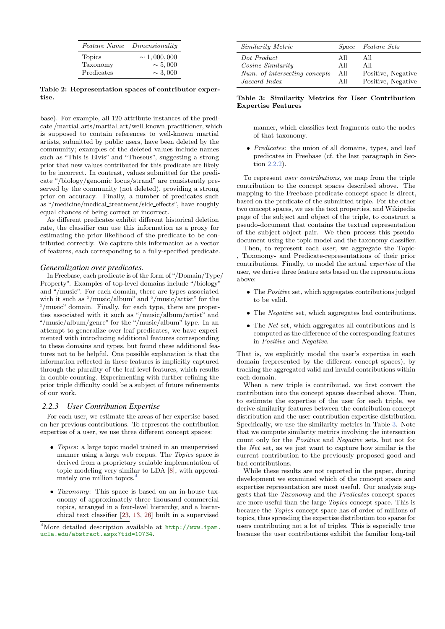| <i>Feature Name</i> | Dimensionality   |
|---------------------|------------------|
| <b>Topics</b>       | $\sim 1,000,000$ |
| Taxonomy            | $\sim 5,000$     |
| Predicates          | $\sim 3,000$     |

Table 2: Representation spaces of contributor expertise.

base). For example, all 120 attribute instances of the predicate /martial arts/martial art/well known practitioner, which is supposed to contain references to well-known martial artists, submitted by public users, have been deleted by the community; examples of the deleted values include names such as "This is Elvis" and "Theseus", suggesting a strong prior that new values contributed for this predicate are likely to be incorrect. In contrast, values submitted for the predicate "/biology/genomic locus/strand" are consistently preserved by the community (not deleted), providing a strong prior on accuracy. Finally, a number of predicates such as "/medicine/medical treatment/side effects", have roughly equal chances of being correct or incorrect.

As different predicates exhibit different historical deletion rate, the classifier can use this information as a proxy for estimating the prior likelihood of the predicate to be contributed correctly. We capture this information as a vector of features, each corresponding to a fully-specified predicate.

## *Generalization over predicates.*

In Freebase, each predicate is of the form of "/Domain/Type/ Property". Examples of top-level domains include "/biology" and "/music". For each domain, there are types associated with it such as "/music/album" and "/music/artist" for the "/music" domain. Finally, for each type, there are properties associated with it such as "/music/album/artist" and "/music/album/genre" for the "/music/album" type. In an attempt to generalize over leaf predicates, we have experimented with introducing additional features corresponding to these domains and types, but found these additional features not to be helpful. One possible explanation is that the information reflected in these features is implicitly captured through the plurality of the leaf-level features, which results in double counting. Experimenting with further refining the prior triple difficulty could be a subject of future refinements of our work.

## <span id="page-3-0"></span>*2.2.3 User Contribution Expertise*

For each user, we estimate the areas of her expertise based on her previous contributions. To represent the contribution expertise of a user, we use three different concept spaces:

- Topics: a large topic model trained in an unsupervised manner using a large web corpus. The Topics space is derived from a proprietary scalable implementation of topic modeling very similar to LDA [\[8\]](#page-9-7), with approxi-mately one million topics.<sup>[4](#page-3-1)</sup>
- Taxonomy: This space is based on an in-house taxonomy of approximately three thousand commercial topics, arranged in a four-level hierarchy, and a hierarchical text classifier [\[23,](#page-9-8) [13,](#page-9-9) [26\]](#page-9-10) built in a supervised

| <i>Similarity Metric</i>      |      | <i>Space Feature Sets</i> |
|-------------------------------|------|---------------------------|
| Dot Product                   | All  | All                       |
| <i>Cosine Similarity</i>      | All  | All                       |
| Num. of intersecting concepts | All  | Positive, Negative        |
| Jaccard Index                 | A 11 | Positive, Negative        |

## <span id="page-3-2"></span>Table 3: Similarity Metrics for User Contribution Expertise Features

manner, which classifies text fragments onto the nodes of that taxonomy.

• Predicates: the union of all domains, types, and leaf predicates in Freebase (cf. the last paragraph in Section [2.2.2\)](#page-2-5).

To represent user contributions, we map from the triple contribution to the concept spaces described above. The mapping to the Freebase predicate concept space is direct. based on the predicate of the submitted triple. For the other two concept spaces, we use the text properties, and Wikipedia page of the subject and object of the triple, to construct a pseudo-document that contains the textual representation of the subject-object pair. We then process this pseudodocument using the topic model and the taxonomy classifier.

Then, to represent each user, we aggregate the Topic- , Taxonomy- and Predicate-representations of their prior contributions. Finally, to model the actual expertise of the user, we derive three feature sets based on the representations above:

- The *Positive* set, which aggregates contributions judged to be valid.
- The *Negative* set, which aggregates bad contributions.
- The *Net* set, which aggregates all contributions and is computed as the difference of the corresponding features in Positive and Negative.

That is, we explicitly model the user's expertise in each domain (represented by the different concept spaces), by tracking the aggregated valid and invalid contributions within each domain.

When a new triple is contributed, we first convert the contribution into the concept spaces described above. Then, to estimate the expertise of the user for each triple, we derive similarity features between the contribution concept distribution and the user contribution expertise distribution. Specifically, we use the similarity metrics in Table [3.](#page-3-2) Note that we compute similarity metrics involving the intersection count only for the Positive and Negative sets, but not for the Net set, as we just want to capture how similar is the current contribution to the previously proposed good and bad contributions.

While these results are not reported in the paper, during development we examined which of the concept space and expertise representation are most useful. Our analysis suggests that the Taxonomy and the Predicates concept spaces are more useful than the large Topics concept space. This is because the Topics concept space has of order of millions of topics, thus spreading the expertise distribution too sparse for users contributing not a lot of triples. This is especially true because the user contributions exhibit the familiar long-tail

<span id="page-3-1"></span><sup>4</sup>More detailed description available at [http://www.ipam.](http://www.ipam.ucla.edu/abstract.aspx?tid=10734) [ucla.edu/abstract.aspx?tid=10734](http://www.ipam.ucla.edu/abstract.aspx?tid=10734).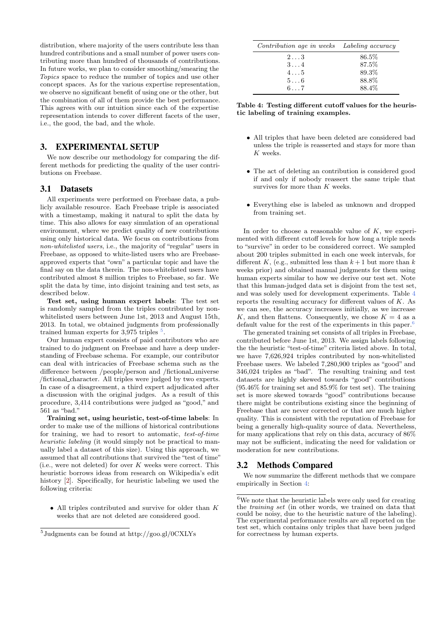distribution, where majority of the users contribute less than hundred contributions and a small number of power users contributing more than hundred of thousands of contributions. In future works, we plan to consider smoothing/smearing the Topics space to reduce the number of topics and use other concept spaces. As for the various expertise representation, we observe no significant benefit of using one or the other, but the combination of all of them provide the best performance. This agrees with our intuition since each of the expertise representation intends to cover different facets of the user, i.e., the good, the bad, and the whole.

## <span id="page-4-3"></span>3. EXPERIMENTAL SETUP

We now describe our methodology for comparing the different methods for predicting the quality of the user contributions on Freebase.

## 3.1 Datasets

All experiments were performed on Freebase data, a publicly available resource. Each Freebase triple is associated with a timestamp, making it natural to split the data by time. This also allows for easy simulation of an operational environment, where we predict quality of new contributions using only historical data. We focus on contributions from non-whitelisted users, i.e., the majority of "regular" users in Freebase, as opposed to white-listed users who are Freebaseapproved experts that "own" a particular topic and have the final say on the data therein. The non-whitelisted users have contributed almost 8 million triples to Freebase, so far. We split the data by time, into disjoint training and test sets, as described below.

Test set, using human expert labels: The test set is randomly sampled from the triples contributed by nonwhitelisted users between June 1st, 2013 and August 15th, 2013. In total, we obtained judgments from professionally trained human experts for  $3,975$  $3,975$  triples  $5$ .

Our human expert consists of paid contributors who are trained to do judgment on Freebase and have a deep understanding of Freebase schema. For example, our contributor can deal with intricacies of Freebase schema such as the difference between /people/person and /fictional\_universe /fictional character. All triples were judged by two experts. In case of a disagreement, a third expert adjudicated after a discussion with the original judges. As a result of this procedure, 3,414 contributions were judged as "good," and 561 as "bad."

Training set, using heuristic, test-of-time labels: In order to make use of the millions of historical contributions for training, we had to resort to automatic, test-of-time heuristic labeling (it would simply not be practical to manually label a dataset of this size). Using this approach, we assumed that all contributions that survived the "test of time" (i.e., were not deleted) for over  $K$  weeks were correct. This heuristic borrows ideas from research on Wikipedia's edit history [\[2\]](#page-9-1). Specifically, for heuristic labeling we used the following criteria:

• All triples contributed and survive for older than  $K$ weeks that are not deleted are considered good.

| Contribution age in weeks Labeling accuracy |       |
|---------------------------------------------|-------|
| $2 \ldots 3$                                | 86.5% |
| $3 \ldots 4$                                | 87.5% |
| $4 \ldots 5$                                | 89.3% |
| $5 \ldots 6$                                | 88.8% |
| $6 \ldots 7$                                | 88.4% |

<span id="page-4-1"></span>Table 4: Testing different cutoff values for the heuristic labeling of training examples.

- All triples that have been deleted are considered bad unless the triple is reasserted and stays for more than K weeks.
- The act of deleting an contribution is considered good if and only if nobody reassert the same triple that survives for more than K weeks.
- Everything else is labeled as unknown and dropped from training set.

In order to choose a reasonable value of  $K$ , we experimented with different cutoff levels for how long a triple needs to "survive" in order to be considered correct. We sampled about 200 triples submitted in each one week intervals, for different K, (e.g., submitted less than  $k+1$  but more than k weeks prior) and obtained manual judgments for them using human experts similar to how we derive our test set. Note that this human-judged data set is disjoint from the test set, and was solely used for development experiments. Table [4](#page-4-1) reports the resulting accuracy for different values of K. As we can see, the accuracy increases initially, as we increase K, and then flattens. Consequently, we chose  $K = 4$  as a default value for the rest of the experiments in this paper.<sup>[6](#page-4-2)</sup>

The generated training set consists of all triples in Freebase, contributed before June 1st, 2013. We assign labels following the the heuristic "test-of-time" criteria listed above. In total, we have 7,626,924 triples contributed by non-whitelisted Freebase users. We labeled 7,280,900 triples as "good" and 346,024 triples as "bad". The resulting training and test datasets are highly skewed towards "good" contributions (95.46% for training set and 85.9% for test set). The training set is more skewed towards "good" contributions because there might be contributions existing since the beginning of Freebase that are never corrected or that are much higher quality. This is consistent with the reputation of Freebase for being a generally high-quality source of data. Nevertheless, for many applications that rely on this data, accuracy of 86% may not be sufficient, indicating the need for validation or moderation for new contributions.

## 3.2 Methods Compared

We now summarize the different methods that we compare empirically in Section [4:](#page-5-0)

<span id="page-4-0"></span><sup>5</sup> Judgments can be found at http://goo.gl/0CXLYs

<span id="page-4-2"></span> $^6\mathrm{We}$  note that the heuristic labels were only used for creating the training set (in other words, we trained on data that could be noisy, due to the heuristic nature of the labeling). The experimental performance results are all reported on the test set, which contains only triples that have been judged for correctness by human experts.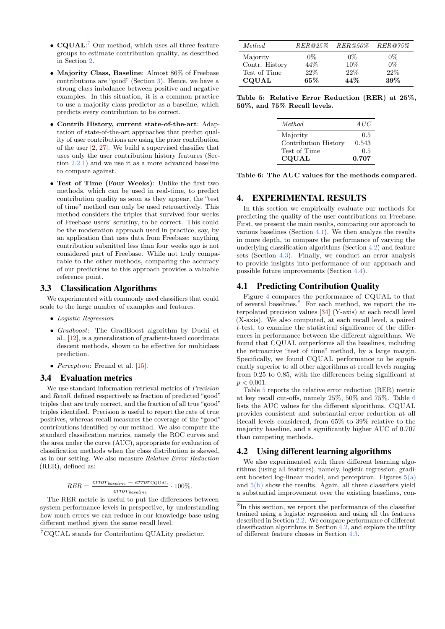- **CQUAL**:<sup>[7](#page-5-1)</sup> Our method, which uses all three feature groups to estimate contribution quality, as described in Section [2.](#page-1-3)
- Majority Class, Baseline: Almost 86% of Freebase contributions are "good" (Section [3\)](#page-4-3). Hence, we have a strong class imbalance between positive and negative examples. In this situation, it is a common practice to use a majority class predictor as a baseline, which predicts every contribution to be correct.
- Contrib History, current state-of-the-art: Adaptation of state-of-the-art approaches that predict quality of user contributions are using the prior contribution of the user [\[2,](#page-9-1) [27\]](#page-9-3). We build a supervised classifier that uses only the user contribution history features (Section [2.2.1\)](#page-2-6) and we use it as a more advanced baseline to compare against.
- Test of Time (Four Weeks): Unlike the first two methods, which can be used in real-time, to predict contribution quality as soon as they appear, the "test of time" method can only be used retroactively. This method considers the triples that survived four weeks of Freebase users' scrutiny, to be correct. This could be the moderation approach used in practice, say, by an application that uses data from Freebase: anything contribution submitted less than four weeks ago is not considered part of Freebase. While not truly comparable to the other methods, comparing the accuracy of our predictions to this approach provides a valuable reference point.

#### 3.3 Classification Algorithms

We experimented with commonly used classifiers that could scale to the large number of examples and features.

- Logistic Regression
- Gradboost: The GradBoost algorithm by Duchi et al., [\[12\]](#page-9-11), is a generalization of gradient-based coordinate descent methods, shown to be effective for multiclass prediction.
- *Perceptron*: Freund et al. [\[15\]](#page-9-12).

#### 3.4 Evaluation metrics

We use standard information retrieval metrics of Precision and Recall, defined respectively as fraction of predicted "good" triples that are truly correct, and the fraction of all true "good" triples identified. Precision is useful to report the rate of true positives, whereas recall measures the coverage of the "good" contributions identified by our method. We also compute the standard classification metrics, namely the ROC curves and the area under the curve (AUC), appropriate for evaluation of classification methods when the class distribution is skewed, as in our setting. We also measure Relative Error Reduction (RER), defined as:

$$
RER = \frac{error_{baseline} - error_{\text{CQUAL}}}{error_{baseline}} \cdot 100\%.
$$

The RER metric is useful to put the differences between system performance levels in perspective, by understanding how much errors we can reduce in our knowledge base using different method given the same recall level.

| Method         | RER@25% | $RER@50\%$ | $RER@75\%$ |
|----------------|---------|------------|------------|
| Majority       | $0\%$   | $0\%$      | $0\%$      |
| Contr. History | 44\%    | 10%        | $0\%$      |
| Test of Time   | 22%     | 22%        | 22%        |
| <b>CQUAL</b>   | $65\%$  | 44\%       | 39%        |

Table 5: Relative Error Reduction (RER) at 25%, 50%, and 75% Recall levels.

<span id="page-5-5"></span>

| <i>Method</i>        | AUC   |
|----------------------|-------|
| Majority             | 0.5   |
| Contribution History | 0.543 |
| Test of Time         | 0.5   |
| <b>CQUAL</b>         | 0.707 |

<span id="page-5-6"></span>Table 6: The AUC values for the methods compared.

# <span id="page-5-0"></span>4. EXPERIMENTAL RESULTS

In this section we empirically evaluate our methods for predicting the quality of the user contributions on Freebase. First, we present the main results, comparing our approach to various baselines (Section [4.1\)](#page-5-2). We then analyze the results in more depth, to compare the performance of varying the underlying classification algorithms (Section [4.2\)](#page-5-3) and feature sets (Section [4.3\)](#page-6-0). Finally, we conduct an error analysis to provide insights into performance of our approach and possible future improvements (Section [4.4\)](#page-6-1).

# <span id="page-5-2"></span>4.1 Predicting Contribution Quality

Figure [4](#page-6-2) compares the performance of CQUAL to that of several baselines.[8](#page-5-4) For each method, we report the interpolated precision values [\[34\]](#page-9-13) (Y-axis) at each recall level (X-axis). We also computed, at each recall level, a paired t-test, to examine the statistical significance of the differences in performance between the different algorithms. We found that CQUAL outperforms all the baselines, including the retroactive "test of time" method, by a large margin. Specifically, we found CQUAL performance to be significantly superior to all other algorithms at recall levels ranging from 0.25 to 0.85, with the differences being significant at  $p < 0.001$ .

Table [5](#page-5-5) reports the relative error reduction (RER) metric at key recall cut-offs, namely 25%, 50% and 75%. Table [6](#page-5-6) lists the AUC values for the different algorithms. CQUAL provides consistent and substantial error reduction at all Recall levels considered, from 65% to 39% relative to the majority baseline, and a significantly higher AUC of 0.707 than competing methods.

# <span id="page-5-3"></span>4.2 Using different learning algorithms

We also experimented with three different learning algorithms (using all features), namely, logistic regression, gradient boosted log-linear model, and perceptron. Figures  $5(a)$ and  $5(b)$  show the results. Again, all three classifiers yield a substantial improvement over the existing baselines, con-

<span id="page-5-1"></span><sup>7</sup>CQUAL stands for Contribution QUALity predictor.

<span id="page-5-4"></span><sup>8</sup> In this section, we report the performance of the classifier trained using a logistic regression and using all the features described in Section [2.2.](#page-2-0) We compare performance of different classification algorithms in Section [4.2,](#page-5-3) and explore the utility of different feature classes in Section [4.3.](#page-6-0)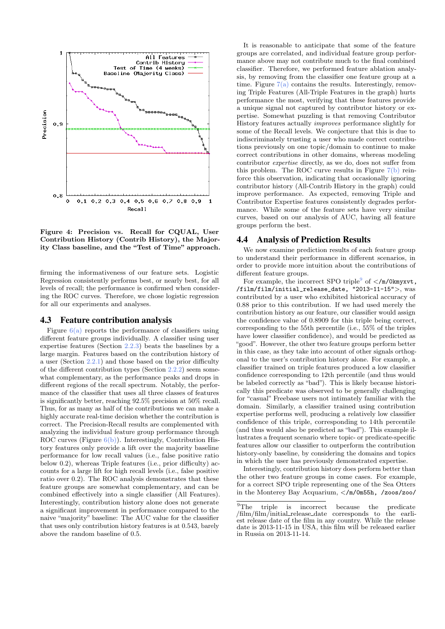

<span id="page-6-2"></span>Figure 4: Precision vs. Recall for CQUAL, User Contribution History (Contrib History), the Majority Class baseline, and the "Test of Time" approach.

firming the informativeness of our feature sets. Logistic Regression consistently performs best, or nearly best, for all levels of recall; the performance is confirmed when considering the ROC curves. Therefore, we chose logistic regression for all our experiments and analyses.

#### <span id="page-6-0"></span>4.3 Feature contribution analysis

Figure  $6(a)$  reports the performance of classifiers using different feature groups individually. A classifier using user expertise features (Section [2.2.3\)](#page-3-0) beats the baselines by a large margin. Features based on the contribution history of a user (Section [2.2.1\)](#page-2-6) and those based on the prior difficulty of the different contribution types (Section [2.2.2\)](#page-2-5) seem somewhat complementary, as the performance peaks and drops in different regions of the recall spectrum. Notably, the performance of the classifier that uses all three classes of features is significantly better, reaching 92.5% precision at 50% recall. Thus, for as many as half of the contributions we can make a highly accurate real-time decision whether the contribution is correct. The Precision-Recall results are complemented with analyzing the individual feature group performance through ROC curves (Figure  $6(b)$ ). Interestingly, Contribution History features only provide a lift over the majority baseline performance for low recall values (i.e., false positive ratio below 0.2), whereas Triple features (i.e., prior difficulty) accounts for a large lift for high recall levels (i.e., false positive ratio over 0.2). The ROC analysis demonstrates that these feature groups are somewhat complementary, and can be combined effectively into a single classifier (All Features). Interestingly, contribution history alone does not generate a significant improvement in performance compared to the naive "majority" baseline: The AUC value for the classifier that uses only contribution history features is at 0.543, barely above the random baseline of 0.5.

It is reasonable to anticipate that some of the feature groups are correlated, and individual feature group performance above may not contribute much to the final combined classifier. Therefore, we performed feature ablation analysis, by removing from the classifier one feature group at a time. Figure  $7(a)$  contains the results. Interestingly, removing Triple Features (All-Triple Features in the graph) hurts performance the most, verifying that these features provide a unique signal not captured by contributor history or expertise. Somewhat puzzling is that removing Contributor History features actually improves performance slightly for some of the Recall levels. We conjecture that this is due to indiscriminately trusting a user who made correct contributions previously on one topic/domain to continue to make correct contributions in other domains, whereas modeling contributor expertise directly, as we do, does not suffer from this problem. The ROC curve results in Figure  $7(b)$  reinforce this observation, indicating that occasionally ignoring contributor history (All-Contrib History in the graph) could improve performance. As expected, removing Triple and Contributor Expertise features consistently degrades performance. While some of the feature sets have very similar curves, based on our analysis of AUC, having all feature groups perform the best.

#### <span id="page-6-1"></span>4.4 Analysis of Prediction Results

We now examine prediction results of each feature group to understand their performance in different scenarios, in order to provide more intuition about the contributions of different feature groups.

For example, the incorrect SPO triple<sup>[9](#page-6-3)</sup> of  $\lt$ /m/0kmyxvt, /film/film/initial\_release\_date, "2013-11-15">, was contributed by a user who exhibited historical accuracy of 0.88 prior to this contribution. If we had used merely the contribution history as our feature, our classifier would assign the confidence value of 0.8909 for this triple being correct, corresponding to the 55th percentile (i.e., 55% of the triples have lower classifier confidence), and would be predicted as "good". However, the other two feature groups perform better in this case, as they take into account of other signals orthogonal to the user's contribution history alone. For example, a classifier trained on triple features produced a low classifier confidence corresponding to 12th percentile (and thus would be labeled correctly as "bad"). This is likely because historically this predicate was observed to be generally challenging for "casual" Freebase users not intimately familiar with the domain. Similarly, a classifier trained using contribution expertise performs well, producing a relatively low classifier confidence of this triple, corresponding to 14th percentile (and thus would also be predicted as "bad"). This example illustrates a frequent scenario where topic- or predicate-specific features allow our classifier to outperform the contribution history-only baseline, by considering the domains and topics in which the user has previously demonstrated expertise.

Interestingly, contribution history does perform better than the other two feature groups in come cases. For example, for a correct SPO triple representing one of the Sea Otters in the Monterey Bay Acquarium, </m/0m55h, /zoos/zoo/

<span id="page-6-3"></span> $\overline{^{9}$ The triple is incorrect because the predicate /film/film/initial release date corresponds to the earliest release date of the film in any country. While the release date is 2013-11-15 in USA, this film will be released earlier in Russia on 2013-11-14.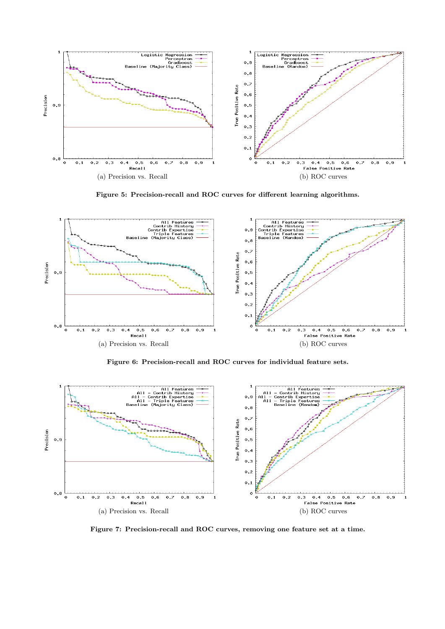<span id="page-7-0"></span>

<span id="page-7-1"></span>Figure 5: Precision-recall and ROC curves for different learning algorithms.

<span id="page-7-2"></span>

<span id="page-7-3"></span>Figure 6: Precision-recall and ROC curves for individual feature sets.

<span id="page-7-4"></span>

<span id="page-7-5"></span>Figure 7: Precision-recall and ROC curves, removing one feature set at a time.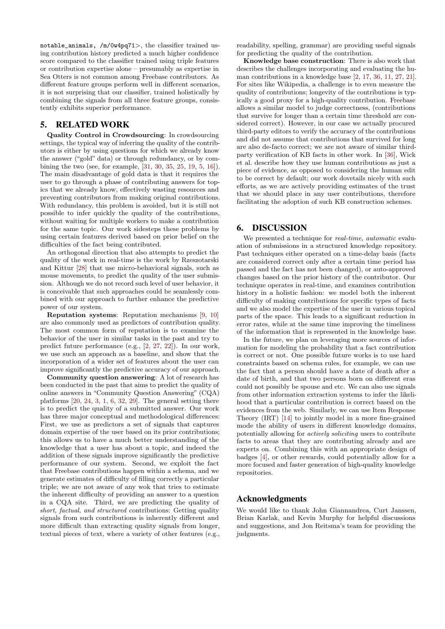notable\_animals, /m/0w4pq71>, the classifier trained using contribution history predicted a much higher confidence score compared to the classifier trained using triple features or contribution expertise alone – presumably as expertise in Sea Otters is not common among Freebase contributors. As different feature groups perform well in different scenarios, it is not surprising that our classifier, trained holistically by combining the signals from all three feature groups, consistently exhibits superior performance.

# 5. RELATED WORK

Quality Control in Crowdsourcing: In crowdsourcing settings, the typical way of inferring the quality of the contributors is either by using questions for which we already know the answer ("gold" data) or through redundancy, or by combining the two (see, for example, [\[31,](#page-9-14) [30,](#page-9-15) [35,](#page-9-16) [25,](#page-9-17) [19,](#page-9-18) [5,](#page-9-19) [16\]](#page-9-20)). The main disadvantage of gold data is that it requires the user to go through a phase of contributing answers for topics that we already know, effectively wasting resources and preventing contributors from making original contributions. With redundancy, this problem is avoided, but it is still not possible to infer quickly the quality of the contributions, without waiting for multiple workers to make a contribution for the same topic. Our work sidesteps these problems by using certain features derived based on prior belief on the difficulties of the fact being contributed.

An orthogonal direction that also attempts to predict the quality of the work in real-time is the work by Rzeszotarski and Kittur [\[28\]](#page-9-21) that use micro-behavioral signals, such as mouse movements, to predict the quality of the user submission. Although we do not record such level of user behavior, it is conceivable that such approaches could be seamlessly combined with our approach to further enhance the predictive power of our system.

Reputation systems: Reputation mechanisms [\[9,](#page-9-22) [10\]](#page-9-23) are also commonly used as predictors of contribution quality. The most common form of reputation is to examine the behavior of the user in similar tasks in the past and try to predict future performance (e.g., [\[2,](#page-9-1) [27,](#page-9-3) [22\]](#page-9-6)). In our work, we use such an approach as a baseline, and show that the incorporation of a wider set of features about the user can improve significantly the predictive accuracy of our approach.

Community question answering: A lot of research has been conducted in the past that aims to predict the quality of online answers in "Community Question Answering" (CQA) platforms [\[20,](#page-9-24) [24,](#page-9-25) [3,](#page-9-26) [1,](#page-9-27) [6,](#page-9-28) [32,](#page-9-29) [29\]](#page-9-30). The general setting there is to predict the quality of a submitted answer. Our work has three major conceptual and methodological differences: First, we use as predictors a set of signals that captures domain expertise of the user based on its prior contributions; this allows us to have a much better understanding of the knowledge that a user has about a topic, and indeed the addition of these signals improve significantly the predictive performance of our system. Second, we exploit the fact that Freebase contributions happen within a schema, and we generate estimates of difficulty of filling correctly a particular triple; we are not aware of any wok that tries to estimate the inherent difficulty of providing an answer to a question in a CQA site. Third, we are predicting the quality of short, factual, and structured contributions: Getting quality signals from such contributions is inherently different and more difficult than extracting quality signals from longer, textual pieces of text, where a variety of other features (e.g.,

readability, spelling, grammar) are providing useful signals for predicting the quality of the contribution.

Knowledge base construction: There is also work that describes the challenges incorporating and evaluating the human contributions in a knowledge base [\[2,](#page-9-1) [17,](#page-9-2) [36,](#page-9-31) [11,](#page-9-32) [27,](#page-9-3) [21\]](#page-9-33). For sites like Wikipedia, a challenge is to even measure the quality of contributions; longevity of the contributions is typically a good proxy for a high-quality contribution. Freebase allows a similar model to judge correctness, (contributions that survive for longer than a certain time threshold are considered correct). However, in our case we actually procured third-party editors to verify the accuracy of the contributions and did not assume that contributions that survived for long are also de-facto correct; we are not aware of similar thirdparty verification of KB facts in other work. In [\[36\]](#page-9-31), Wick et al. describe how they use human contributions as just a piece of evidence, as opposed to considering the human edit to be correct by default; our work dovetails nicely with such efforts, as we are actively providing estimates of the trust that we should place in any user contributions, therefore facilitating the adoption of such KB construction schemes.

# 6. DISCUSSION

We presented a technique for *real-time*, *automatic* evaluation of submissions in a structured knowledge repository. Past techniques either operated on a time-delay basis (facts are considered correct only after a certain time period has passed and the fact has not been changed), or auto-approved changes based on the prior history of the contributor. Our technique operates in real-time, and examines contribution history in a holistic fashion: we model both the inherent difficulty of making contributions for specific types of facts and we also model the expertise of the user in various topical parts of the space. This leads to a significant reduction in error rates, while at the same time improving the timeliness of the information that is represented in the knowledge base.

In the future, we plan on leveraging more sources of information for modeling the probability that a fact contribution is correct or not. One possible future works is to use hard constraints based on schema rules, for example, we can use the fact that a person should have a date of death after a date of birth, and that two persons born on different eras could not possibly be spouse and etc. We can also use signals from other information extraction systems to infer the likelihood that a particular contribution is correct based on the evidences from the web. Similarly, we can use Item Response Theory (IRT) [\[14\]](#page-9-34) to jointly model in a more fine-grained mode the ability of users in different knowledge domains, potentially allowing for actively soliciting users to contribute facts to areas that they are contributing already and are experts on. Combining this with an appropriate design of badges [\[4\]](#page-9-35), or other rewards, could potentially allow for a more focused and faster generation of high-quality knowledge repositories.

# Acknowledgments

We would like to thank John Giannandrea, Curt Janssen, Brian Karlak, and Kevin Murphy for helpful discussions and suggestions, and Jon Reitsma's team for providing the judgments.